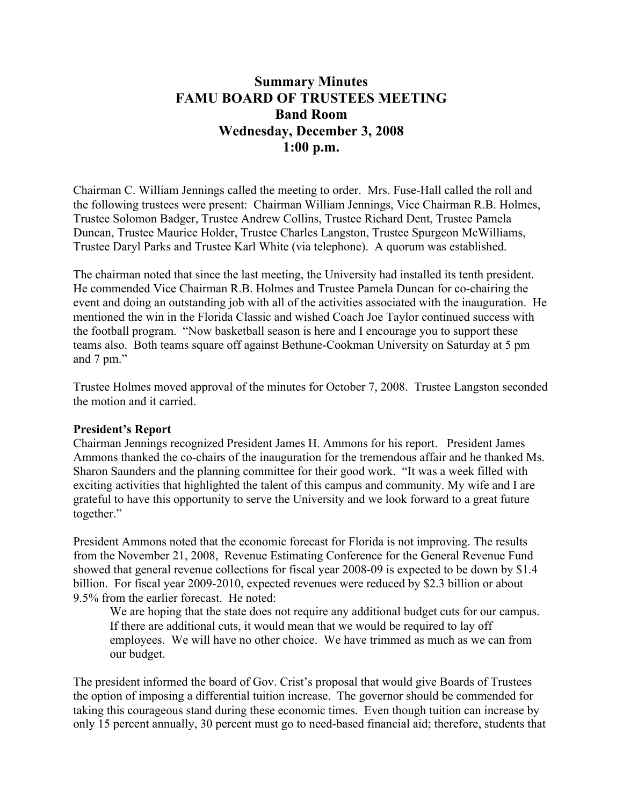# **Summary Minutes FAMU BOARD OF TRUSTEES MEETING Band Room Wednesday, December 3, 2008 1:00 p.m.**

Chairman C. William Jennings called the meeting to order. Mrs. Fuse-Hall called the roll and the following trustees were present: Chairman William Jennings, Vice Chairman R.B. Holmes, Trustee Solomon Badger, Trustee Andrew Collins, Trustee Richard Dent, Trustee Pamela Duncan, Trustee Maurice Holder, Trustee Charles Langston, Trustee Spurgeon McWilliams, Trustee Daryl Parks and Trustee Karl White (via telephone). A quorum was established.

The chairman noted that since the last meeting, the University had installed its tenth president. He commended Vice Chairman R.B. Holmes and Trustee Pamela Duncan for co-chairing the event and doing an outstanding job with all of the activities associated with the inauguration. He mentioned the win in the Florida Classic and wished Coach Joe Taylor continued success with the football program. "Now basketball season is here and I encourage you to support these teams also. Both teams square off against Bethune-Cookman University on Saturday at 5 pm and 7 pm."

Trustee Holmes moved approval of the minutes for October 7, 2008. Trustee Langston seconded the motion and it carried.

#### **President's Report**

Chairman Jennings recognized President James H. Ammons for his report. President James Ammons thanked the co-chairs of the inauguration for the tremendous affair and he thanked Ms. Sharon Saunders and the planning committee for their good work. "It was a week filled with exciting activities that highlighted the talent of this campus and community. My wife and I are grateful to have this opportunity to serve the University and we look forward to a great future together."

President Ammons noted that the economic forecast for Florida is not improving. The results from the November 21, 2008, Revenue Estimating Conference for the General Revenue Fund showed that general revenue collections for fiscal year 2008-09 is expected to be down by \$1.4 billion. For fiscal year 2009-2010, expected revenues were reduced by \$2.3 billion or about 9.5% from the earlier forecast. He noted:

We are hoping that the state does not require any additional budget cuts for our campus. If there are additional cuts, it would mean that we would be required to lay off employees. We will have no other choice. We have trimmed as much as we can from our budget.

The president informed the board of Gov. Crist's proposal that would give Boards of Trustees the option of imposing a differential tuition increase. The governor should be commended for taking this courageous stand during these economic times. Even though tuition can increase by only 15 percent annually, 30 percent must go to need-based financial aid; therefore, students that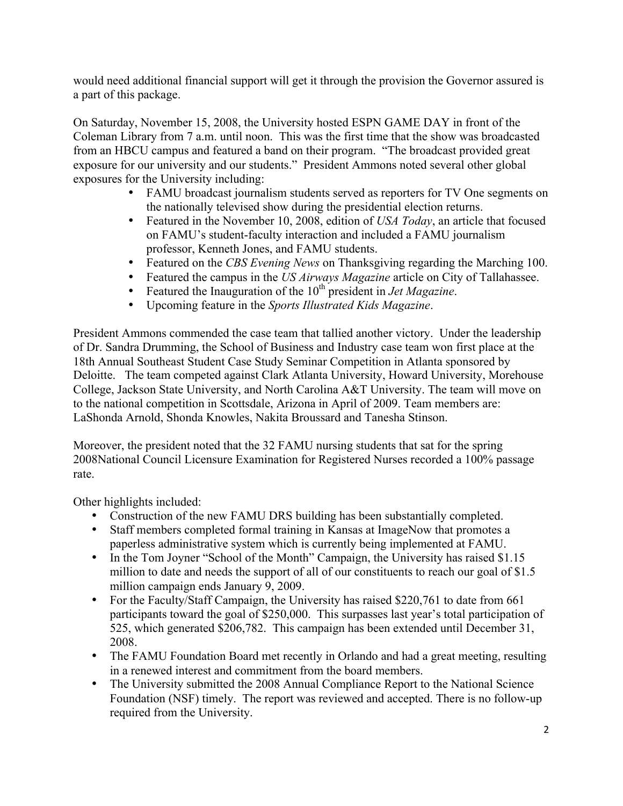would need additional financial support will get it through the provision the Governor assured is a part of this package.

On Saturday, November 15, 2008, the University hosted ESPN GAME DAY in front of the Coleman Library from 7 a.m. until noon. This was the first time that the show was broadcasted from an HBCU campus and featured a band on their program. "The broadcast provided great exposure for our university and our students." President Ammons noted several other global exposures for the University including:

- FAMU broadcast journalism students served as reporters for TV One segments on the nationally televised show during the presidential election returns.
- Featured in the November 10, 2008, edition of *USA Today*, an article that focused on FAMU's student-faculty interaction and included a FAMU journalism professor, Kenneth Jones, and FAMU students.
- Featured on the *CBS Evening News* on Thanksgiving regarding the Marching 100.
- Featured the campus in the *US Airways Magazine* article on City of Tallahassee.
- Featured the Inauguration of the 10<sup>th</sup> president in *Jet Magazine*.
- Upcoming feature in the *Sports Illustrated Kids Magazine*.

President Ammons commended the case team that tallied another victory. Under the leadership of Dr. Sandra Drumming, the School of Business and Industry case team won first place at the 18th Annual Southeast Student Case Study Seminar Competition in Atlanta sponsored by Deloitte. The team competed against Clark Atlanta University, Howard University, Morehouse College, Jackson State University, and North Carolina A&T University. The team will move on to the national competition in Scottsdale, Arizona in April of 2009. Team members are: LaShonda Arnold, Shonda Knowles, Nakita Broussard and Tanesha Stinson.

Moreover, the president noted that the 32 FAMU nursing students that sat for the spring 2008National Council Licensure Examination for Registered Nurses recorded a 100% passage rate.

Other highlights included:

- Construction of the new FAMU DRS building has been substantially completed.
- Staff members completed formal training in Kansas at ImageNow that promotes a paperless administrative system which is currently being implemented at FAMU.
- In the Tom Joyner "School of the Month" Campaign, the University has raised \$1.15 million to date and needs the support of all of our constituents to reach our goal of \$1.5 million campaign ends January 9, 2009.
- For the Faculty/Staff Campaign, the University has raised \$220,761 to date from 661 participants toward the goal of \$250,000. This surpasses last year's total participation of 525, which generated \$206,782. This campaign has been extended until December 31, 2008.
- The FAMU Foundation Board met recently in Orlando and had a great meeting, resulting in a renewed interest and commitment from the board members.
- The University submitted the 2008 Annual Compliance Report to the National Science Foundation (NSF) timely. The report was reviewed and accepted. There is no follow-up required from the University.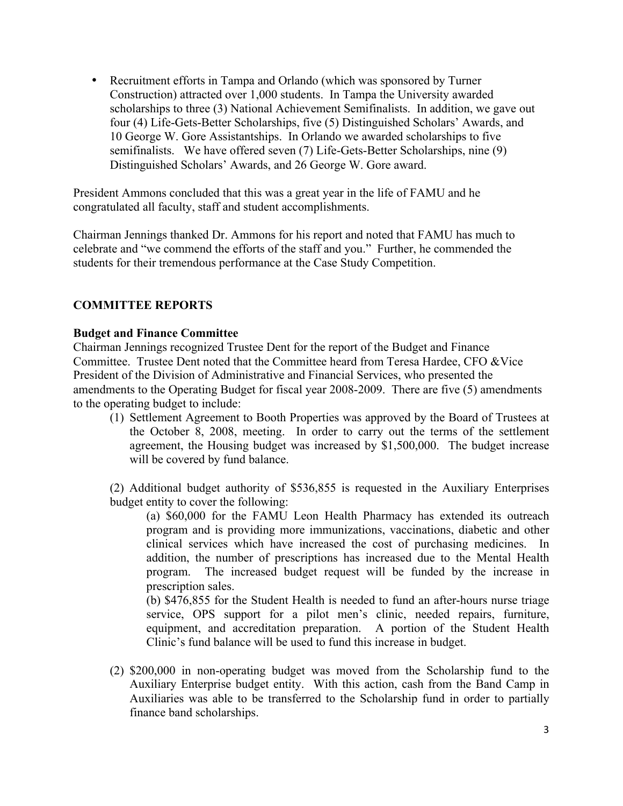• Recruitment efforts in Tampa and Orlando (which was sponsored by Turner Construction) attracted over 1,000 students. In Tampa the University awarded scholarships to three (3) National Achievement Semifinalists. In addition, we gave out four (4) Life-Gets-Better Scholarships, five (5) Distinguished Scholars' Awards, and 10 George W. Gore Assistantships. In Orlando we awarded scholarships to five semifinalists. We have offered seven (7) Life-Gets-Better Scholarships, nine (9) Distinguished Scholars' Awards, and 26 George W. Gore award.

President Ammons concluded that this was a great year in the life of FAMU and he congratulated all faculty, staff and student accomplishments.

Chairman Jennings thanked Dr. Ammons for his report and noted that FAMU has much to celebrate and "we commend the efforts of the staff and you." Further, he commended the students for their tremendous performance at the Case Study Competition.

## **COMMITTEE REPORTS**

#### **Budget and Finance Committee**

Chairman Jennings recognized Trustee Dent for the report of the Budget and Finance Committee. Trustee Dent noted that the Committee heard from Teresa Hardee, CFO &Vice President of the Division of Administrative and Financial Services, who presented the amendments to the Operating Budget for fiscal year 2008-2009. There are five (5) amendments to the operating budget to include:

(1) Settlement Agreement to Booth Properties was approved by the Board of Trustees at the October 8, 2008, meeting. In order to carry out the terms of the settlement agreement, the Housing budget was increased by \$1,500,000. The budget increase will be covered by fund balance.

(2) Additional budget authority of \$536,855 is requested in the Auxiliary Enterprises budget entity to cover the following:

(a) \$60,000 for the FAMU Leon Health Pharmacy has extended its outreach program and is providing more immunizations, vaccinations, diabetic and other clinical services which have increased the cost of purchasing medicines. In addition, the number of prescriptions has increased due to the Mental Health program. The increased budget request will be funded by the increase in prescription sales.

(b) \$476,855 for the Student Health is needed to fund an after-hours nurse triage service, OPS support for a pilot men's clinic, needed repairs, furniture, equipment, and accreditation preparation. A portion of the Student Health Clinic's fund balance will be used to fund this increase in budget.

(2) \$200,000 in non-operating budget was moved from the Scholarship fund to the Auxiliary Enterprise budget entity. With this action, cash from the Band Camp in Auxiliaries was able to be transferred to the Scholarship fund in order to partially finance band scholarships.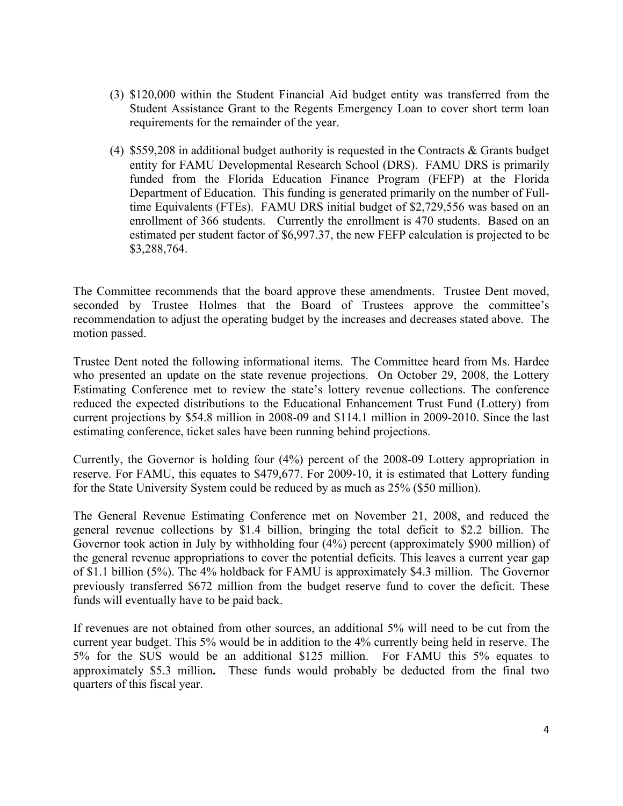- (3) \$120,000 within the Student Financial Aid budget entity was transferred from the Student Assistance Grant to the Regents Emergency Loan to cover short term loan requirements for the remainder of the year.
- (4) \$559,208 in additional budget authority is requested in the Contracts & Grants budget entity for FAMU Developmental Research School (DRS). FAMU DRS is primarily funded from the Florida Education Finance Program (FEFP) at the Florida Department of Education. This funding is generated primarily on the number of Fulltime Equivalents (FTEs). FAMU DRS initial budget of \$2,729,556 was based on an enrollment of 366 students. Currently the enrollment is 470 students. Based on an estimated per student factor of \$6,997.37, the new FEFP calculation is projected to be \$3,288,764.

The Committee recommends that the board approve these amendments. Trustee Dent moved, seconded by Trustee Holmes that the Board of Trustees approve the committee's recommendation to adjust the operating budget by the increases and decreases stated above. The motion passed.

Trustee Dent noted the following informational items. The Committee heard from Ms. Hardee who presented an update on the state revenue projections. On October 29, 2008, the Lottery Estimating Conference met to review the state's lottery revenue collections. The conference reduced the expected distributions to the Educational Enhancement Trust Fund (Lottery) from current projections by \$54.8 million in 2008-09 and \$114.1 million in 2009-2010. Since the last estimating conference, ticket sales have been running behind projections.

Currently, the Governor is holding four (4%) percent of the 2008-09 Lottery appropriation in reserve. For FAMU, this equates to \$479,677. For 2009-10, it is estimated that Lottery funding for the State University System could be reduced by as much as 25% (\$50 million).

The General Revenue Estimating Conference met on November 21, 2008, and reduced the general revenue collections by \$1.4 billion, bringing the total deficit to \$2.2 billion. The Governor took action in July by withholding four (4%) percent (approximately \$900 million) of the general revenue appropriations to cover the potential deficits. This leaves a current year gap of \$1.1 billion (5%). The 4% holdback for FAMU is approximately \$4.3 million. The Governor previously transferred \$672 million from the budget reserve fund to cover the deficit. These funds will eventually have to be paid back.

If revenues are not obtained from other sources, an additional 5% will need to be cut from the current year budget. This 5% would be in addition to the 4% currently being held in reserve. The 5% for the SUS would be an additional \$125 million. For FAMU this 5% equates to approximately \$5.3 million**.** These funds would probably be deducted from the final two quarters of this fiscal year.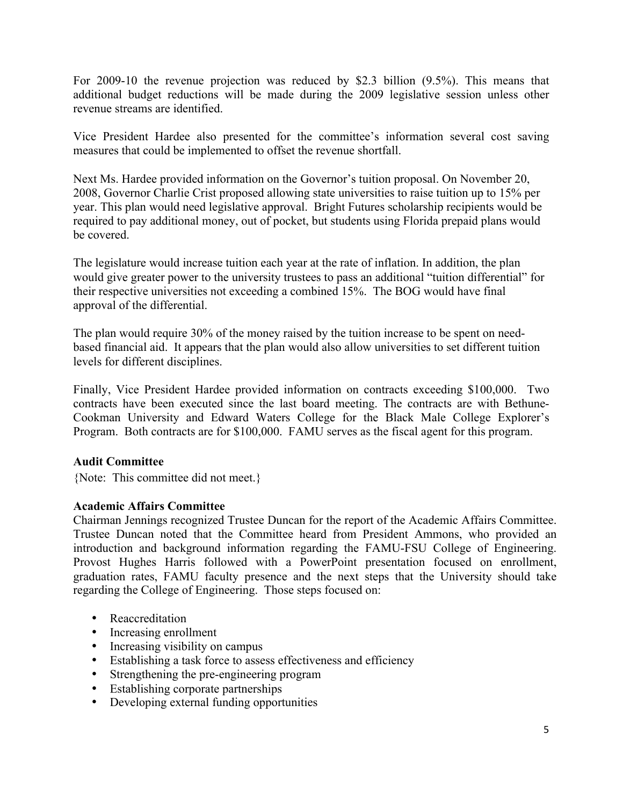For 2009-10 the revenue projection was reduced by \$2.3 billion (9.5%). This means that additional budget reductions will be made during the 2009 legislative session unless other revenue streams are identified.

Vice President Hardee also presented for the committee's information several cost saving measures that could be implemented to offset the revenue shortfall.

Next Ms. Hardee provided information on the Governor's tuition proposal. On November 20, 2008, Governor Charlie Crist proposed allowing state universities to raise tuition up to 15% per year. This plan would need legislative approval. Bright Futures scholarship recipients would be required to pay additional money, out of pocket, but students using Florida prepaid plans would be covered.

The legislature would increase tuition each year at the rate of inflation. In addition, the plan would give greater power to the university trustees to pass an additional "tuition differential" for their respective universities not exceeding a combined 15%. The BOG would have final approval of the differential.

The plan would require 30% of the money raised by the tuition increase to be spent on needbased financial aid. It appears that the plan would also allow universities to set different tuition levels for different disciplines.

Finally, Vice President Hardee provided information on contracts exceeding \$100,000. Two contracts have been executed since the last board meeting. The contracts are with Bethune-Cookman University and Edward Waters College for the Black Male College Explorer's Program. Both contracts are for \$100,000. FAMU serves as the fiscal agent for this program.

#### **Audit Committee**

{Note: This committee did not meet.}

#### **Academic Affairs Committee**

Chairman Jennings recognized Trustee Duncan for the report of the Academic Affairs Committee. Trustee Duncan noted that the Committee heard from President Ammons, who provided an introduction and background information regarding the FAMU-FSU College of Engineering. Provost Hughes Harris followed with a PowerPoint presentation focused on enrollment, graduation rates, FAMU faculty presence and the next steps that the University should take regarding the College of Engineering. Those steps focused on:

- Reaccreditation
- Increasing enrollment
- Increasing visibility on campus
- Establishing a task force to assess effectiveness and efficiency
- Strengthening the pre-engineering program
- Establishing corporate partnerships
- Developing external funding opportunities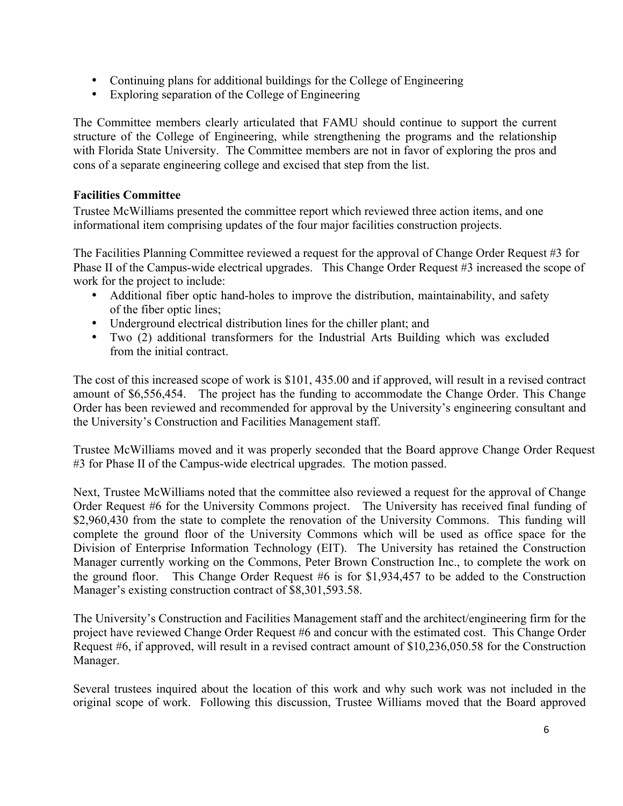- Continuing plans for additional buildings for the College of Engineering
- Exploring separation of the College of Engineering

The Committee members clearly articulated that FAMU should continue to support the current structure of the College of Engineering, while strengthening the programs and the relationship with Florida State University. The Committee members are not in favor of exploring the pros and cons of a separate engineering college and excised that step from the list.

#### **Facilities Committee**

Trustee McWilliams presented the committee report which reviewed three action items, and one informational item comprising updates of the four major facilities construction projects.

The Facilities Planning Committee reviewed a request for the approval of Change Order Request #3 for Phase II of the Campus-wide electrical upgrades. This Change Order Request #3 increased the scope of work for the project to include:

- Additional fiber optic hand-holes to improve the distribution, maintainability, and safety of the fiber optic lines;
- Underground electrical distribution lines for the chiller plant; and
- Two (2) additional transformers for the Industrial Arts Building which was excluded from the initial contract.

The cost of this increased scope of work is \$101, 435.00 and if approved, will result in a revised contract amount of \$6,556,454. The project has the funding to accommodate the Change Order. This Change Order has been reviewed and recommended for approval by the University's engineering consultant and the University's Construction and Facilities Management staff.

Trustee McWilliams moved and it was properly seconded that the Board approve Change Order Request #3 for Phase II of the Campus-wide electrical upgrades. The motion passed.

Next, Trustee McWilliams noted that the committee also reviewed a request for the approval of Change Order Request #6 for the University Commons project. The University has received final funding of \$2,960,430 from the state to complete the renovation of the University Commons. This funding will complete the ground floor of the University Commons which will be used as office space for the Division of Enterprise Information Technology (EIT). The University has retained the Construction Manager currently working on the Commons, Peter Brown Construction Inc., to complete the work on the ground floor. This Change Order Request #6 is for \$1,934,457 to be added to the Construction Manager's existing construction contract of \$8,301,593.58.

The University's Construction and Facilities Management staff and the architect/engineering firm for the project have reviewed Change Order Request #6 and concur with the estimated cost. This Change Order Request #6, if approved, will result in a revised contract amount of \$10,236,050.58 for the Construction Manager.

Several trustees inquired about the location of this work and why such work was not included in the original scope of work. Following this discussion, Trustee Williams moved that the Board approved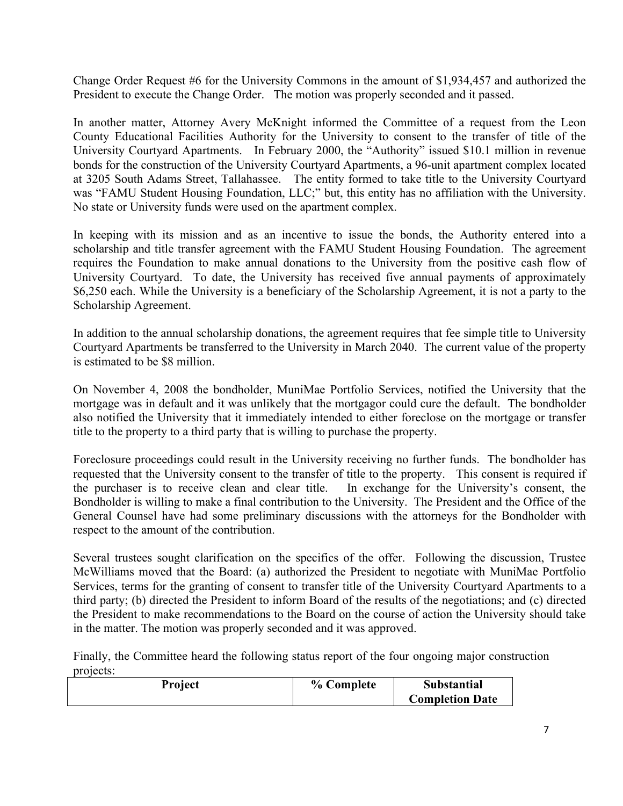Change Order Request #6 for the University Commons in the amount of \$1,934,457 and authorized the President to execute the Change Order. The motion was properly seconded and it passed.

In another matter, Attorney Avery McKnight informed the Committee of a request from the Leon County Educational Facilities Authority for the University to consent to the transfer of title of the University Courtyard Apartments. In February 2000, the "Authority" issued \$10.1 million in revenue bonds for the construction of the University Courtyard Apartments, a 96-unit apartment complex located at 3205 South Adams Street, Tallahassee. The entity formed to take title to the University Courtyard was "FAMU Student Housing Foundation, LLC;" but, this entity has no affiliation with the University. No state or University funds were used on the apartment complex.

In keeping with its mission and as an incentive to issue the bonds, the Authority entered into a scholarship and title transfer agreement with the FAMU Student Housing Foundation. The agreement requires the Foundation to make annual donations to the University from the positive cash flow of University Courtyard. To date, the University has received five annual payments of approximately \$6,250 each. While the University is a beneficiary of the Scholarship Agreement, it is not a party to the Scholarship Agreement.

In addition to the annual scholarship donations, the agreement requires that fee simple title to University Courtyard Apartments be transferred to the University in March 2040. The current value of the property is estimated to be \$8 million.

On November 4, 2008 the bondholder, MuniMae Portfolio Services, notified the University that the mortgage was in default and it was unlikely that the mortgagor could cure the default. The bondholder also notified the University that it immediately intended to either foreclose on the mortgage or transfer title to the property to a third party that is willing to purchase the property.

Foreclosure proceedings could result in the University receiving no further funds. The bondholder has requested that the University consent to the transfer of title to the property. This consent is required if the purchaser is to receive clean and clear title. In exchange for the University's consent, the Bondholder is willing to make a final contribution to the University. The President and the Office of the General Counsel have had some preliminary discussions with the attorneys for the Bondholder with respect to the amount of the contribution.

Several trustees sought clarification on the specifics of the offer. Following the discussion, Trustee McWilliams moved that the Board: (a) authorized the President to negotiate with MuniMae Portfolio Services, terms for the granting of consent to transfer title of the University Courtyard Apartments to a third party; (b) directed the President to inform Board of the results of the negotiations; and (c) directed the President to make recommendations to the Board on the course of action the University should take in the matter. The motion was properly seconded and it was approved.

Finally, the Committee heard the following status report of the four ongoing major construction projects:

| Project | % Complete | <b>Substantial</b>     |
|---------|------------|------------------------|
|         |            | <b>Completion Date</b> |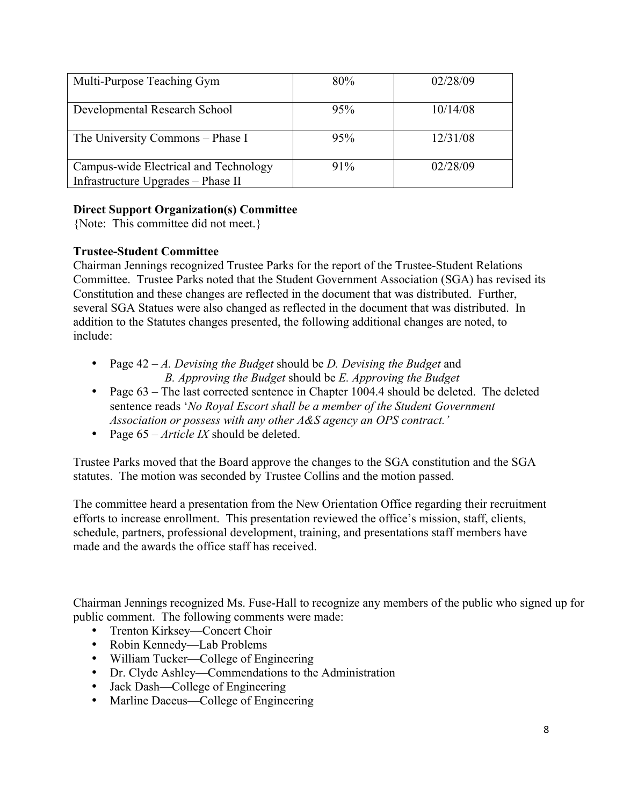| Multi-Purpose Teaching Gym                                                  | 80%    | 02/28/09 |
|-----------------------------------------------------------------------------|--------|----------|
| Developmental Research School                                               | 95%    | 10/14/08 |
| The University Commons – Phase I                                            | 95%    | 12/31/08 |
| Campus-wide Electrical and Technology<br>Infrastructure Upgrades - Phase II | $91\%$ | 02/28/09 |

# **Direct Support Organization(s) Committee**

{Note: This committee did not meet.}

### **Trustee-Student Committee**

Chairman Jennings recognized Trustee Parks for the report of the Trustee-Student Relations Committee. Trustee Parks noted that the Student Government Association (SGA) has revised its Constitution and these changes are reflected in the document that was distributed. Further, several SGA Statues were also changed as reflected in the document that was distributed. In addition to the Statutes changes presented, the following additional changes are noted, to include:

- Page 42 *A. Devising the Budget* should be *D. Devising the Budget* and *B. Approving the Budget* should be *E. Approving the Budget*
- Page  $63$  The last corrected sentence in Chapter 1004.4 should be deleted. The deleted sentence reads '*No Royal Escort shall be a member of the Student Government Association or possess with any other A&S agency an OPS contract.'*
- Page 65 *Article IX* should be deleted.

Trustee Parks moved that the Board approve the changes to the SGA constitution and the SGA statutes. The motion was seconded by Trustee Collins and the motion passed.

The committee heard a presentation from the New Orientation Office regarding their recruitment efforts to increase enrollment. This presentation reviewed the office's mission, staff, clients, schedule, partners, professional development, training, and presentations staff members have made and the awards the office staff has received.

Chairman Jennings recognized Ms. Fuse-Hall to recognize any members of the public who signed up for public comment. The following comments were made:

- Trenton Kirksey—Concert Choir
- Robin Kennedy—Lab Problems
- William Tucker—College of Engineering
- Dr. Clyde Ashley—Commendations to the Administration
- Jack Dash—College of Engineering
- Marline Daceus—College of Engineering